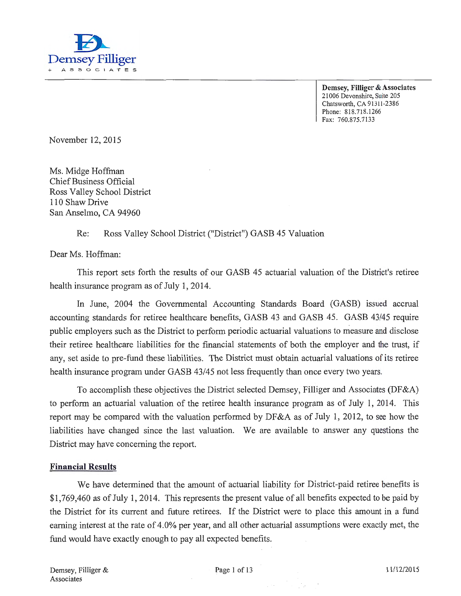

Demsey, Filliger & Associates 21006 Devonshire, Suite 205 Chatsworth, CA 91311-2386 Phone: 818.718.1266 Fax: 760.875.7133

November 12, 2015

Ms. Midge Hoffman Chief Business Official Ross Valley School District 110 Shaw Drive San Anselmo, CA 94960

### Re: Ross Valley School District ("District") GASB 45 Valuation

Dear Ms. Hoffman:

This report sets forth the results of our GASB 45 actuarial valuation of the District's retiree health insurance program as of July 1, 2014.

In June, 2004 the Governmental Accounting Standards Board (GASB) issued accrual accounting standards for retiree healthcare benefits, GASB 43 and GASB 45. GASB 43/45 require public employers such as the District to perform periodic actuarial valuations to measure and disclose their retiree healthcare liabilities for the financial statements of both the employer and the trust, if any, set aside to pre-fund these liabilities. The District must obtain actuarial valuations of its retiree health insurance program under GASB 43/45 not less frequently than once every two years.

To accomplish these objectives the District selected Demsey, Filliger and Associates (DF&A) to perform an actuarial valuation of the retiree health insurance program as of July 1, 2014. This report may be compared with the valuation performed by DF&A as of July 1, 2012, to see how the liabilities have changed since the last valuation. We are available to answer any questions the District may have concerning the report.

### Financial Results

We have determined that the amount of actuarial liability for District-paid retiree benefits is \$1,769,460 as of July 1, 2014. This represents the present value of all benefits expected to be paid by the District for its current and future retirees. If the District were to place this amount in a fund earning interest at the rate of 4.0% per year, and all other actuarial assumptions were exactly met, the fund would have exactly enough to pay all expected benefits.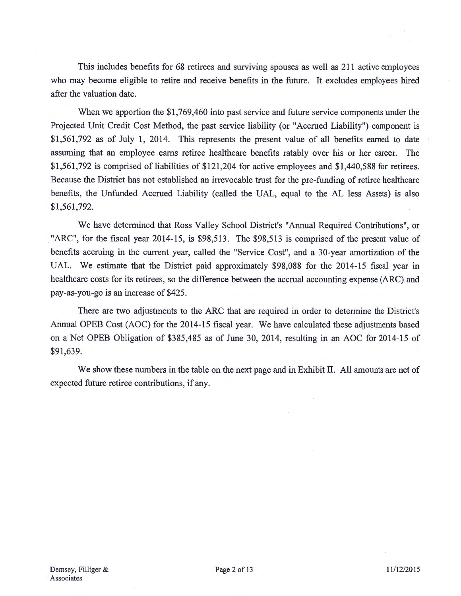This includes benefits for 68 retirees and surviving-spouses as well as 211 active employees who may become eligible to retire and receive benefits in the future. It excludes employees hired after the valuation date.

When we apportion the \$1,769,460 into past service and future service components under the Projected Unit Credit Cost Method, the past service liability (or "Accrued Liability") component is \$1,561,792 as of July 1, 2014. This represents the present value of all benefits earned to date assuming that an employee earns retiree healthcare benefits ratably over his or her career. The \$1,561,792 is comprised of liabilities of \$121,204 for active employees and \$1,440,588 for retirees. Because the District has not established an irrevocable trust for the pre-funding of retiree healthcare benefits, the Unfunded Accrued Liability (called the UAL, equal to the AL less Assets) is also \$1,561,792.

We have determined that Ross Valley School District's "Annual Required Contributions", or "ARC", for the fiscal year 2014-15, is \$98,513. The \$98,513 is comprised of the present value of benefits accruing in the current year, called the "Service Cost", and a 30-year amortization of the UAL. We estimate that the District paid approximately \$98,088 for the 2014-15 fiscal year in healthcare costs for its retirees, so the difference between the accrual accounting expense (ARC) and pay-as-you-go is an increase of \$425.

There are two adjustments to the ARC that are required in order to determine the District's Annual OPEB Cost (AOC) for the 2014-15 fiscal year. We have calculated these adjustments based on a Net OPEB Obligation of \$385,485 as of June 30, 2014, resulting in an AOC for 2014-15 of \$91,639.

We show these numbers in the table on the next page and in Exhibit II. All amounts are net of expected future retiree contributions, if any.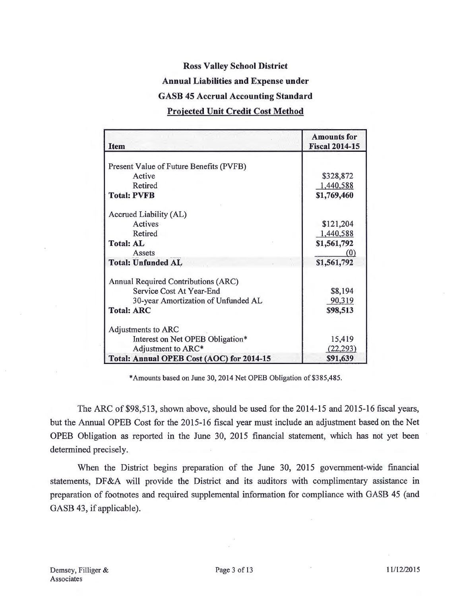### **Ross Valley School District**

#### **Annual Liabilities and Expense under**

#### **GASB 45 Accrual Accounting Standard**

### **Projected Unit Credit Cost Method**

| <b>Item</b>                               | <b>Amounts</b> for<br><b>Fiscal 2014-15</b> |
|-------------------------------------------|---------------------------------------------|
|                                           |                                             |
| Present Value of Future Benefits (PVFB)   |                                             |
| Active                                    | \$328,872                                   |
| Retired                                   | 1,440,588                                   |
| <b>Total: PVFB</b>                        | \$1,769,460                                 |
| Accrued Liability (AL)                    |                                             |
| <b>Actives</b>                            | \$121,204                                   |
| Retired                                   | 1,440,588                                   |
| <b>Total: AL</b>                          | \$1,561,792                                 |
| Assets                                    | (0)                                         |
| <b>Total: Unfunded AL</b>                 | \$1,561,792                                 |
| Annual Required Contributions (ARC)       |                                             |
| Service Cost At Year-End                  | \$8,194                                     |
| 30-year Amortization of Unfunded AL       | 90,319                                      |
| <b>Total: ARC</b>                         | \$98,513                                    |
| Adjustments to ARC                        |                                             |
| Interest on Net OPEB Obligation*          | 15,419                                      |
| Adjustment to ARC*                        | (22, 293)                                   |
| Total: Annual OPEB Cost (AOC) for 2014-15 | \$91,639                                    |

\*Amounts based on June 30, 2014 Net OPEB Obligation of \$385,485.

The ARC of \$98,513, shown above, should be used for the 2014-15 and 2015-16 fiscal years, but the Annual OPEB Cost for the 2015-16 fiscal year must include an adjustment based on the Net OPEB Obligation as reported in the June 30, 2015 financial statement, which has not yet been determined precisely.

When the District begins preparation of the June 30, 2015 government-wide financial statements, DF&A will provide the District and its auditors with complimentary assistance in preparation of footnotes and required supplemental information for compliance with GASB 45 (and GASB 43, if applicable).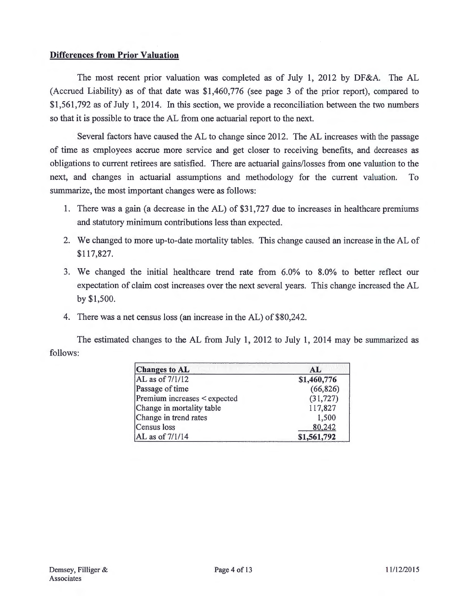### **Differences from Prior Valuation**

The most recent prior valuation was completed as of July **1,** 2012 by DF&A. The AL (Accrued Liability) as of that date was \$1,460,776 (see page 3 of the prior report), compared to \$1,561, 792 as of July 1, 2014. In this section, we provide a reconciliation between the two numbers so that it is possible to trace the AL from one actuarial report to the next.

Several factors have caused the AL to change since 2012. The AL increases with the passage of time as employees accrue more service and get closer to receiving benefits, and decreases as obligations to current retirees are satisfied. There are actuarial gains/losses from one valuation to the next, and changes in actuarial assumptions and methodology for the current valuation. To summarize, the most important changes were as follows:

- 1. There was a gain (a decrease in the AL) of \$31,727 due to increases in healthcare premiums and statutory minimum contributions less than expected.
- 2. We changed to more up-to-date mortality tables. This change caused an increase in the AL of \$117,827.
- 3. We changed the initial healthcare trend rate from 6.0% to 8.0% to better reflect our expectation of claim cost increases over the next several years. This change increased the AL by \$1,500.
- 4. There was a net census loss (an increase in the AL) of \$80,242.

The estimated changes to the AL from July **1,** 2012 to July 1, 2014 may be summarized as follows:

| <b>Changes to AL</b>         | AL          |  |
|------------------------------|-------------|--|
| AL as of 7/1/12              | \$1,460,776 |  |
| Passage of time              | (66, 826)   |  |
| Premium increases < expected | (31, 727)   |  |
| Change in mortality table    | 117,827     |  |
| Change in trend rates        | 1,500       |  |
| Census loss                  | 80,242      |  |
| AL as of 7/1/14              | \$1,561,792 |  |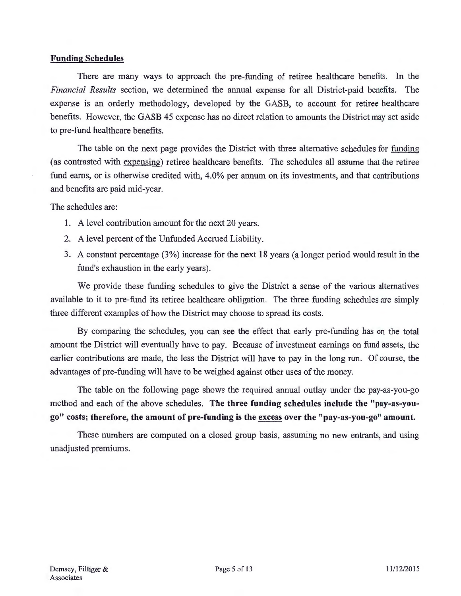### Funding Schedules

There are many ways to approach the pre-funding of retiree healthcare benefits. In the *Financial Results* section, we determined the annual expense for all District-paid benefits. The expense is an orderly methodology, developed by the GASB, to account for retiree healthcare benefits. However, the GASB 45 expense has no direct relation to amounts the District may set aside to pre-fund healthcare benefits.

The table on the next page provides the District with three alternative schedules for funding (as contrasted with expensing) retiree healthcare benefits. The schedules all assume that the retiree fund earns, or is otherwise credited with, 4.0% per annum on its investments, and that contributions and benefits are paid mid-year.

The schedules are:

- I. A level contribution amount for the next 20 years.
- 2. A level percent of the Unfunded Accrued Liability.
- 3. A constant percentage (3 % ) increase for the next 18 years (a longer period would result in the fund's exhaustion in the early years).

We provide these funding schedules to give the District a sense of the various alternatives available to it to pre-fund its retiree healthcare obligation. The three funding schedules are simply three different examples of how the District may choose to spread its costs.

By comparing the schedules, you can see the effect that early pre-funding has on the total amount the District will eventually have to pay. Because of investment earnings on fund assets, the earlier contributions are made, the less the District will have to pay in the long run. Of course, the advantages of pre-funding will have to be weighed against other uses of the money.

The table on the following page shows the required annual outlay under the pay-as-you-go method and each of the above schedules. The three funding schedules include the "pay-as-yougo" costs; therefore, the amount of pre-funding is the excess over the "pay-as-you-go" amount.

These numbers are computed on a closed group basis, assuming no new entrants, and using unadjusted premiums.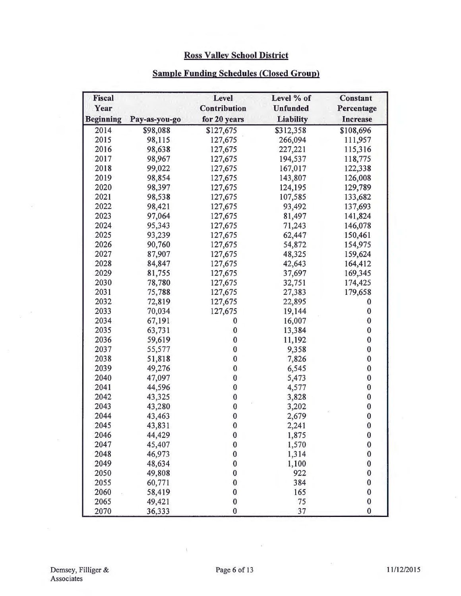# **Ross Valley School District**

# **Sample Funding Schedules (Closed Group)**

| <b>Fiscal</b><br>Year |               | Level<br>Contribution | Level % of<br><b>Unfunded</b> | <b>Constant</b><br>Percentage |
|-----------------------|---------------|-----------------------|-------------------------------|-------------------------------|
| <b>Beginning</b>      | Pay-as-you-go | for 20 years          | <b>Liability</b>              | <b>Increase</b>               |
| 2014                  | \$98,088      | \$127,675             | \$312,358                     | \$108,696                     |
| 2015                  | 98,115        | 127,675               | 266,094                       | 111,957                       |
| 2016                  | 98,638        | 127,675               | 227,221                       | 115,316                       |
| 2017                  | 98,967        | 127,675               | 194,537                       | 118,775                       |
| 2018                  | 99,022        | 127,675               | 167,017                       | 122,338                       |
| 2019                  | 98,854        | 127,675               | 143,807                       | 126,008                       |
| 2020                  | 98,397        | 127,675               | 124,195                       | 129,789                       |
| 2021                  | 98,538        | 127,675               | 107,585                       | 133,682                       |
| 2022                  | 98,421        | 127,675               | 93,492                        | 137,693                       |
| 2023                  | 97,064        | 127,675               | 81,497                        | 141,824                       |
| 2024                  | 95,343        | 127,675               | 71,243                        | 146,078                       |
| 2025                  | 93,239        | 127,675               | 62,447                        | 150,461                       |
| 2026                  | 90,760        | 127,675               | 54,872                        | 154,975                       |
| 2027                  | 87,907        | 127,675               | 48,325                        | 159,624                       |
| 2028                  | 84,847        | 127,675               | 42,643                        | 164,412                       |
| 2029                  | 81,755        | 127,675               | 37,697                        | 169,345                       |
| 2030                  | 78,780        | 127,675               | 32,751                        | 174,425                       |
| 2031                  | 75,788        | 127,675               | 27,383                        | 179,658                       |
| 2032                  | 72,819        | 127,675               | 22,895                        | 0                             |
| 2033                  | 70,034        | 127,675               | 19,144                        | $\bf{0}$                      |
| 2034                  | 67,191        | $\bf{0}$              | 16,007                        | $\bf{0}$                      |
| 2035                  | 63,731        | $\bf{0}$              | 13,384                        | $\bf{0}$                      |
| 2036                  | 59,619        | $\bf{0}$              | 11,192                        | $\bf{0}$                      |
| 2037                  | 55,577        | $\bf{0}$              | 9,358                         | $\bf{0}$                      |
| 2038                  | 51,818        | $\bf{0}$              | 7,826                         | $\bf{0}$                      |
| 2039                  | 49,276        | $\bf{0}$              | 6,545                         | $\pmb{0}$                     |
| 2040                  | 47,097        | $\bf{0}$              | 5,473                         | $\pmb{0}$                     |
| 2041                  | 44,596        | $\bf{0}$              | 4,577                         | $\bf{0}$                      |
| 2042                  | 43,325        | $\bf{0}$              | 3,828                         | $\boldsymbol{0}$              |
| 2043                  | 43,280        | $\bf{0}$              | 3,202                         | $\bf{0}$                      |
| 2044                  | 43,463        | $\bf{0}$              | 2,679                         | $\mathbf{0}$                  |
| 2045                  | 43,831        | $\bf{0}$              | 2,241                         | $\mathbf{0}$                  |
| 2046                  | 44,429        | $\pmb{0}$             | 1,875                         | $\pmb{0}$                     |
| 2047                  | 45,407        | $\bf{0}$              | 1,570                         | $\pmb{0}$                     |
| 2048                  | 46,973        | $\bf{0}$              | 1,314                         | $\bf{0}$                      |
| 2049                  | 48,634        | $\bf{0}$              | 1,100                         | $\bf{0}$                      |
| 2050                  | 49,808        | $\bf{0}$              | 922                           | $\bf{0}$                      |
| 2055                  | 60,771        | $\bf{0}$              | 384                           | $\bf{0}$                      |
| 2060                  | 58,419        | $\bf{0}$              | 165                           | $\bf{0}$                      |
| 2065                  | 49,421        | $\bf{0}$              | 75                            | $\pmb{0}$                     |
| 2070                  | 36,333        | $\overline{0}$        | 37                            | $\bf{0}$                      |

 $\overline{1}$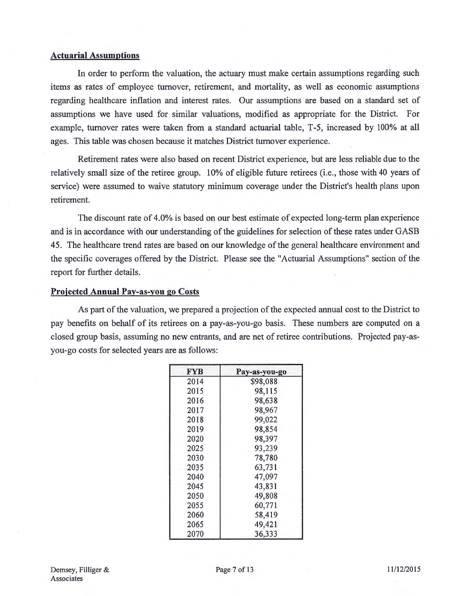#### **Actuarial Assumptions**

In order to perform the valuation, the actuary must make certain assumptions regarding such items as rates of employee turnover, retirement, and mortality, as well as economic assumptions regarding healthcare inflation and interest rates. Our assumptions are based on a standard set of assumptions we have used for similar valuations, modified as appropriate for the District. For example, turnover rates were taken from a standard actuarial table, T-5, increased by 100% at all ages. This table was chosen because it matches District turnover experience.

Retirement rates were also based on recent District experience, but are less reliable due to the relatively small size of the retiree group. 10% of eligible future retirees (i.e., those with 40 years of service) were assumed to waive statutory minimum coverage under the District's health plans upon retirement.

The discount rate of 4.0% is based on our best estimate of expected long-term plan experience and is in accordance with our understanding of the guidelines for selection of these rates under GASB 45. The healthcare trend rates are based on our knowledge of the general healthcare environment and the specific coverages offered by the District. Please see the "Actuarial Assumptions" section of the report for further details.

#### **Projected Annual Pay-as-you go Costs**

As part of the valuation, we prepared a projection of the expected annual cost to the District to pay benefits on behalf of its retirees on a pay-as-you-go basis. These numbers are computed on a closed group basis, assuming no new entrants, and are net of retiree contributions. Projected pay-asyou-go costs for selected years are as follows:

| FYB  | Pay-as-you-go |
|------|---------------|
| 2014 | \$98,088      |
| 2015 | 98,115        |
| 2016 | 98,638        |
| 2017 | 98,967        |
| 2018 | 99,022        |
| 2019 | 98,854        |
| 2020 | 98,397        |
| 2025 | 93,239        |
| 2030 | 78,780        |
| 2035 | 63,731        |
| 2040 | 47,097        |
| 2045 | 43,831        |
| 2050 | 49,808        |
| 2055 | 60,771        |
| 2060 | 58,419        |
| 2065 | 49,421        |
| 2070 | 36,333        |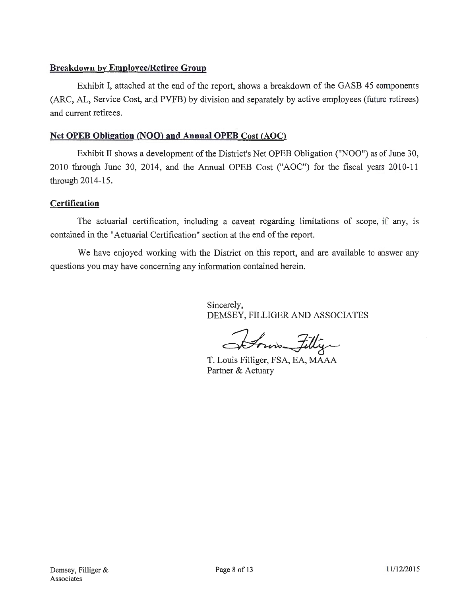### **Breakdown by Employee/Retiree Group**

Exhibit I, attached at the end of the report, shows a breakdown of the GASB 45 components (ARC, AL, Service Cost, and PVFB) by division and separately by active employees (future retirees) and current retirees.

### **Net OPEB Obligation (NOO) and Annual OPEB Cost (AOC)**

Exhibit II shows a development of the District's Net OPEB Obligation ("NOO") as of June 30, 2010 through June 30, 2014, and the Annual OPEB Cost ("AOC") for the fiscal years 2010-11 through 2014-15.

### **Certification**

The actuarial certification, including a caveat regarding limitations of scope, if any, is contained in the "Actuarial Certification" section at the end of the report.

We have enjoyed working with the District on this report, and are available to answer any questions you may have concerning any information contained herein.

> Sincerely, DEMSEY, FILLIGER AND ASSOCIATES

Itomis Filliger

T. Louis Filliger, FSA, EA, MAAA Partner & Actuary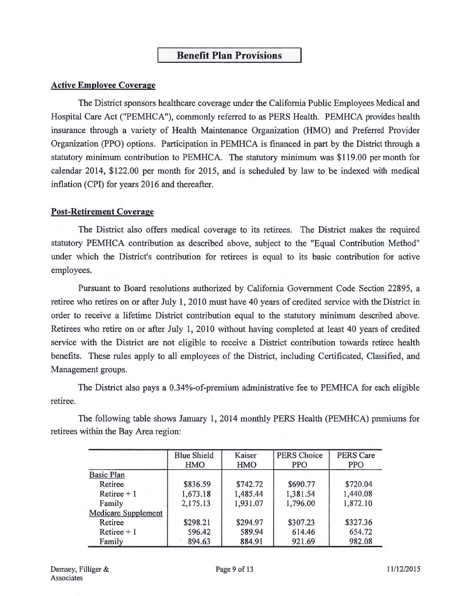### **Benefit Plan Provisions**

### **Active Employee Coverage**

The District sponsors healthcare coverage under the California Public Employees Medical and Hospital Care Act ("PEMHCA"), commonly referred to as PERS Health. PEMHCA provides health insurance through a variety of Health Maintenance Organization (HMO) and Preferred Provider Organization (PPO) options. Participation in PEMHCA is financed in part by the District through a statutory minimum contribution to PEMHCA. The statutory minimum was \$119.00 per month for calendar 2014, \$122.00 per month for 2015, and is scheduled by law to be indexed with medical inflation (CPI) for years 2016 and thereafter.

### **Post-Retirement Coverage**

The District also offers medical coverage to its retirees. The District makes the required statutory PEMHCA contribution as described above, subject to the "Equal Contribution Method" under which the District's contribution for retirees is equal to its basic contribution for active employees.

Pursuant to Board resolutions authorized by California Government Code Section 22895, a retiree who retires on or after July 1, 2010 must have 40 years of credited service with the District in order to receive a lifetime District contribution equal to the statutory minimum described above. Retirees who retire on or after July 1, 2010 without having completed at least 40 years of credited service with the District are not eligible to receive a District contribution towards retiree health benefits. These rules apply to all employees of the District, including Certificated, Classified, and Management groups.

The District also pays a 0.34%-of-premium administrative fee to PEMHCA for each eligible retiree.

The following table shows January 1, 2014 monthly PERS Health (PEMHCA) premiums for retirees within the Bay Area region:

|                            | <b>Blue Shield</b> | Kaiser     | <b>PERS</b> Choice | <b>PERS Care</b> |
|----------------------------|--------------------|------------|--------------------|------------------|
|                            | <b>HMO</b>         | <b>HMO</b> | <b>PPO</b>         | <b>PPO</b>       |
| <b>Basic Plan</b>          |                    |            |                    |                  |
| Retiree                    | \$836.59           | \$742.72   | \$690.77           | \$720.04         |
| Retiree $+1$               | 1,673.18           | 1,485.44   | 1,381.54           | 1,440.08         |
| Family                     | 2,175.13           | 1,931.07   | 1,796.00           | 1,872.10         |
| <b>Medicare Supplement</b> |                    |            |                    |                  |
| Retiree                    | \$298.21           | \$294.97   | \$307.23           | \$327.36         |
| Retiree $+1$               | 596.42             | 589.94     | 614.46             | 654.72           |
| Family                     | 894.63             | 884.91     | 921.69             | 982.08           |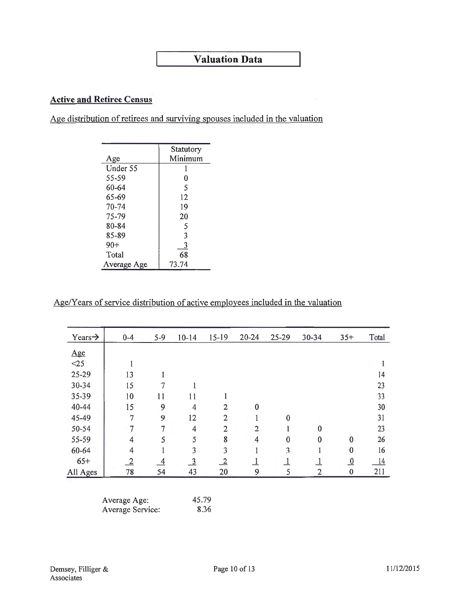# **Valuation Data**

## **Active and Retiree Census**

Age distribution of retirees and surviving spouses included in the valuation

|             | Statutory |
|-------------|-----------|
| Age         | Minimum   |
| Under 55    |           |
| 55-59       | 0         |
| 60-64       | 5         |
| 65-69       | 12        |
| 70-74       | 19        |
| 75-79       | 20        |
| 80-84       | 5         |
| 85-89       | 3         |
| $90+$       | 3         |
| Total       | 68        |
| Average Age | 73.74     |

Age/Years of service distribution of active employees included in the valuation

| Years $\rightarrow$ | $0 - 4$        | $5 - 9$        | $10 - 14$      | 15-19          | $20 - 24$      | $25 - 29$ | 30-34          | $35+$          | Total |
|---------------------|----------------|----------------|----------------|----------------|----------------|-----------|----------------|----------------|-------|
| Age                 |                |                |                |                |                |           |                |                |       |
| <25                 |                |                |                |                |                |           |                |                |       |
| 25-29               | 13             |                |                |                |                |           |                |                | 14    |
| 30-34               | 15             | 7              |                |                |                |           |                |                | 23    |
| 35-39               | 10             | 11             | 11             |                |                |           |                |                | 33    |
| $40 - 44$           | 15             | 9              | $\overline{4}$ | $\overline{2}$ | $\bf{0}$       |           |                |                | 30    |
| 45-49               | $\overline{7}$ | 9              | 12             | $\overline{2}$ | $\mathbf{1}$   | $\Omega$  |                |                | 31    |
| 50-54               | $\overline{7}$ | 7              | $\overline{4}$ | $\overline{2}$ | $\overline{2}$ |           | $\mathbf{0}$   |                | 23    |
| 55-59               | $\overline{4}$ | 5              | 5              | 8              | $\overline{4}$ | $\bf{0}$  | $\mathbf{0}$   | $\bf{0}$       | 26    |
| 60-64               | $\overline{4}$ |                | 3              | 3              | 1              | 3         |                | $\bf{0}$       | 16    |
| $65+$               | $\overline{2}$ | $\overline{4}$ | $\overline{3}$ | $\overline{2}$ | $\perp$        |           | $\overline{1}$ | $\overline{0}$ | 14    |
| All Ages            | 78             | 54             | 43             | 20             | 9              | 5         | $\overline{2}$ | $\bf{0}$       | 211   |

| Average Age:     | 45.79 |
|------------------|-------|
| Average Service: | 8.36  |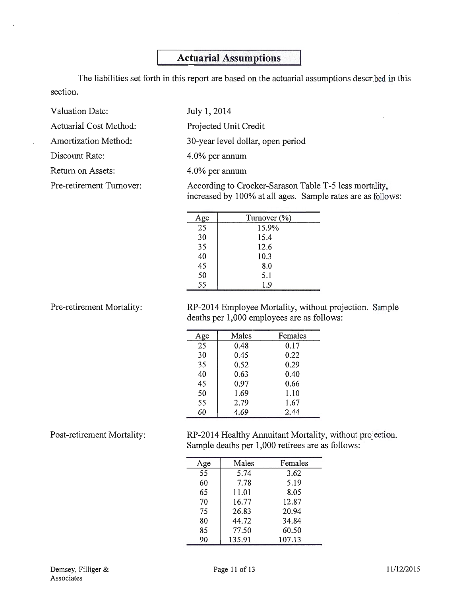# **Actuarial Assumptions**

The liabilities set forth in this report are based on the actuarial assumptions described in this section.

| Valuation Date:             | July 1, 2014                                                                                                          |
|-----------------------------|-----------------------------------------------------------------------------------------------------------------------|
| Actuarial Cost Method:      | Projected Unit Credit                                                                                                 |
| <b>Amortization Method:</b> | 30-year level dollar, open period                                                                                     |
| Discount Rate:              | $4.0\%$ per annum                                                                                                     |
| Return on Assets:           | 4.0% per annum                                                                                                        |
| Pre-retirement Turnover:    | According to Crocker-Sarason Table T-5 less mortality,<br>increased by 100% at all ages. Sample rates are as follows: |

| Age | Turnover (%) |  |
|-----|--------------|--|
| 25  | 15.9%        |  |
| 30  | 15.4         |  |
| 35  | 12.6         |  |
| 40  | 10.3         |  |
| 45  | 8.0          |  |
| 50  | 5.1          |  |
| 55  | 1.9          |  |

Pre-retirement Mortality:

RP-2014 Employee Mortality, without projection. Sample deaths per 1,000 employees are as follows:

| ge | Males | Females |
|----|-------|---------|
| 25 | 0.48  | 0.17    |
| 30 | 0.45  | 0.22    |
| 35 | 0.52  | 0.29    |
| 40 | 0.63  | 0.40    |
| 45 | 0.97  | 0.66    |
| 50 | 1.69  | 1.10    |
| 55 | 2.79  | 1.67    |
| 60 | 4.69  | 2.44    |

Post-retirement Mortality:

RP-2014 Healthy Annuitant Mortality, without projection. Sample deaths per 1,000 retirees are as follows:

| rge | Males  | Females |
|-----|--------|---------|
| 55  | 5.74   | 3.62    |
| 60  | 7.78   | 5.19    |
| 65  | 11.01  | 8.05    |
| 70  | 16.77  | 12.87   |
| 75  | 26.83  | 20.94   |
| 80  | 44.72  | 34.84   |
| 85  | 77.50  | 60.50   |
| 90  | 135.91 | 107.13  |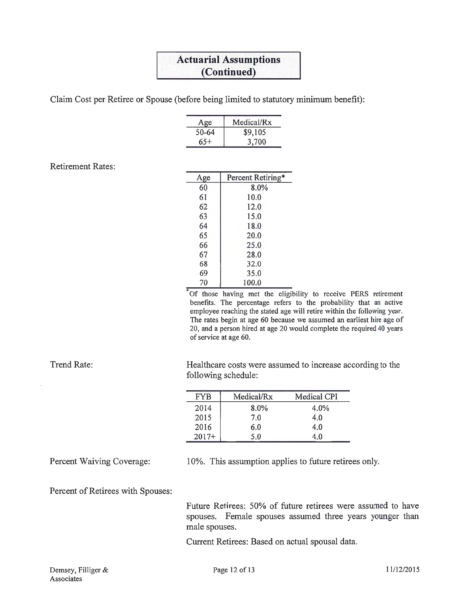# **Actuarial Assumptions (Continued)**

Claim Cost per Retiree or Spouse (before being limited to statutory minimum benefit):

| Age   | Medical/Rx |
|-------|------------|
| 50-64 | \$9,105    |
| 65+   | 3,700      |

Retirement Rates:

| Age | Percent Retiring* |
|-----|-------------------|
| 60  | 8.0%              |
| 61  | 10.0              |
| 62  | 12.0              |
| 63  | 15.0              |
| 64  | 18.0              |
| 65  | 20.0              |
| 66  | 25.0              |
| 67  | 28.0              |
| 68  | 32.0              |
| 69  | 35.0              |
| 70  | 100.0             |

•Of those having met the eligibility to receive PERS retirement benefits. The percentage refers to the probability that an active employee reaching the stated age will retire within the following year. The rates begin at age 60 because we assumed an earliest hire age of 20, and a person hired at age 20 would complete the required 40 years of service at age 60.

Healthcare costs were assumed to increase according to the following schedule:

| FYB     | Medical/Rx | Medical CPI |
|---------|------------|-------------|
| 2014    | 8.0%       | 4.0%        |
| 2015    | 7.0        | 4.0         |
| 2016    | 6.0        | 4.0         |
| $2017+$ | 50         | 4 O         |

Percent Waiving Coverage:

Trend Rate:

10%. This assumption applies to future retirees only.

Percent of Retirees with Spouses:

Future Retirees: 50% of future retirees were assumed to have spouses. Female spouses assumed three years younger than male spouses.

Current Retirees: Based on actual spousal data.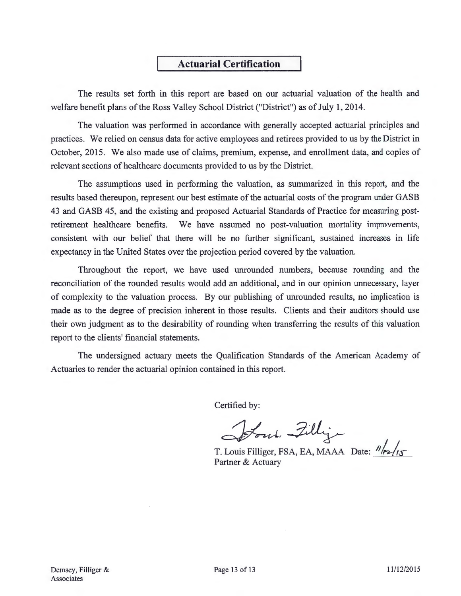# **Actuarial Certification**

The results set forth in this report are based on our actuarial valuation of the health and welfare benefit plans of the Ross Valley School District ("District") as of July 1, 2014.

The valuation was performed in accordance with generally accepted actuarial principles and practices. We relied on census data for active employees and retirees provided to us by the District in October, 2015. We also made use of claims, premium, expense, and enrollment data, and copies of relevant sections of healthcare documents provided to us by the District.

The assumptions used in performing the valuation, as summarized in this report, and the results based thereupon, represent our best estimate of the actuarial costs of the program under GASB 43 and GASB 45, and the existing and proposed Actuarial Standards of Practice for measuring postretirement healthcare benefits. We have assumed no post-valuation mortality improvements, consistent with our belief that there will be no further significant, sustained increases in life expectancy in the United States over the projection period covered by the valuation.

Throughout the report, we have used unrounded numbers, because rounding and the reconciliation of the rounded results would add an additional, and in our opinion unnecessary, layer of complexity to the valuation process. By our publishing of unrounded results, no implication is made as to the degree of precision inherent in those results. Clients and their auditors should use their own judgment as to the desirability of rounding when transferring the results of this valuation report to the clients' financial statements.

The undersigned actuary meets the Qualification Standards of the American Academy of Actuaries to render the actuarial opinion contained in this report.

Certified by:

Certified by:<br>Sout, Filly<br>T. Louis Filliger, FSA, EA, MAAA Date: 1/12/15

Partner & Actuary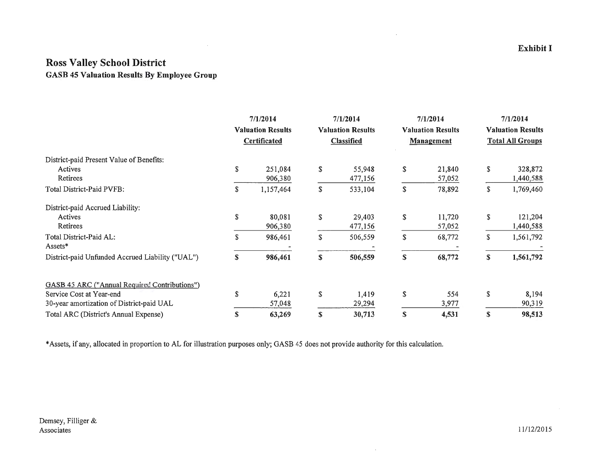# Ross Valley School District GASB 45 Valuation Results By Employee Group

 $\sim$   $\sim$ 

|                                                      | 7/1/2014<br><b>Valuation Results</b> |              | 7/1/2014<br><b>Valuation Results</b> |                   | 7/1/2014<br><b>Valuation Results</b> |                   | 7/1/2014<br><b>Valuation Results</b> |                         |
|------------------------------------------------------|--------------------------------------|--------------|--------------------------------------|-------------------|--------------------------------------|-------------------|--------------------------------------|-------------------------|
|                                                      |                                      |              |                                      |                   |                                      |                   |                                      |                         |
|                                                      |                                      | Certificated |                                      | <b>Classified</b> |                                      | <b>Management</b> |                                      | <b>Total All Groups</b> |
| District-paid Present Value of Benefits:             |                                      |              |                                      |                   |                                      |                   |                                      |                         |
| Actives                                              | \$                                   | 251,084      | S                                    | 55,948            | \$                                   | 21,840            | S                                    | 328,872                 |
| Retirees                                             |                                      | 906,380      |                                      | 477,156           |                                      | 57,052            |                                      | 1,440,588               |
| Total District-Paid PVFB:                            | \$                                   | 1,157,464    | \$                                   | 533,104           | \$                                   | 78,892            | \$                                   | 1,769,460               |
| District-paid Accrued Liability:                     |                                      |              |                                      |                   |                                      |                   |                                      |                         |
| Actives                                              | \$                                   | 80,081       | \$                                   | 29,403            | S                                    | 11,720            | \$                                   | 121,204                 |
| Retirees                                             |                                      | 906,380      |                                      | 477,156           |                                      | 57,052            |                                      | 1,440,588               |
| Total District-Paid AL:                              | S                                    | 986,461      | \$                                   | 506,559           | \$                                   | 68,772            | \$                                   | 1,561,792               |
| Assets*                                              |                                      |              |                                      |                   |                                      |                   |                                      |                         |
| District-paid Unfunded Accrued Liability ("UAL")     | S                                    | 986,461      | S                                    | 506,559           | \$                                   | 68,772            | \$                                   | 1,561,792               |
| <b>GASB 45 ARC ("Annual Required Contributions")</b> |                                      |              |                                      |                   |                                      |                   |                                      |                         |
| Service Cost at Year-end                             | \$                                   | 6,221        | \$                                   | 1,419             | \$                                   | 554               | \$                                   | 8,194                   |
| 30-year amortization of District-paid UAL            |                                      | 57,048       |                                      | 29,294            |                                      | 3,977             |                                      | 90,319                  |
| Total ARC (District's Annual Expense)                | \$                                   | 63,269       | \$                                   | 30,713            | \$                                   | 4,531             | \$                                   | 98,513                  |

 $\cdot$ 

 $\sim$ 

\*Assets, if any, allocated in proportion to AL for illustration purposes only; GASB 45 does not provide authority for this calculation.